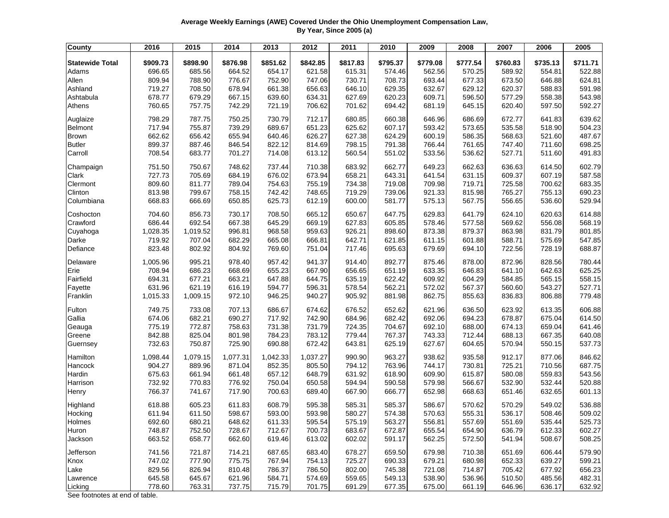## **Average Weekly Earnings (AWE) Covered Under the Ohio Unemployment Compensation Law, By Year, Since 2005 (a)**

| <b>County</b>          | 2016     | 2015     | 2014     | 2013     | 2012     | 2011     | 2010     | 2009     | 2008     | 2007     | 2006     | 2005     |
|------------------------|----------|----------|----------|----------|----------|----------|----------|----------|----------|----------|----------|----------|
| <b>Statewide Total</b> | \$909.73 | \$898.90 | \$876.98 | \$851.62 | \$842.85 | \$817.83 | \$795.37 | \$779.08 | \$777.54 | \$760.83 | \$735.13 | \$711.71 |
| Adams                  | 696.65   | 685.56   | 664.52   | 654.17   | 621.58   | 615.31   | 574.46   | 562.56   | 570.25   | 589.92   | 554.81   | 522.88   |
| Allen                  | 809.94   | 788.90   | 776.67   | 752.90   | 747.06   | 730.71   | 708.73   | 693.44   | 677.33   | 673.50   | 646.88   | 624.81   |
| Ashland                | 719.27   | 708.50   | 678.94   | 661.38   | 656.63   | 646.10   | 629.35   | 632.67   | 629.12   | 620.37   | 588.83   | 591.98   |
| Ashtabula              | 678.77   | 679.29   | 667.15   | 639.60   | 634.31   | 627.69   | 620.23   | 609.71   | 596.50   | 577.29   | 558.38   | 543.98   |
| Athens                 | 760.65   | 757.75   | 742.29   | 721.19   | 706.62   | 701.62   | 694.42   | 681.19   | 645.15   | 620.40   | 597.50   | 592.27   |
| Auglaize               | 798.29   | 787.75   | 750.25   | 730.79   | 712.17   | 680.85   | 660.38   | 646.96   | 686.69   | 672.77   | 641.83   | 639.62   |
| Belmont                | 717.94   | 755.87   | 739.29   | 689.67   | 651.23   | 625.62   | 607.17   | 593.42   | 573.65   | 535.58   | 518.90   | 504.23   |
| <b>Brown</b>           | 662.62   | 656.42   | 655.94   | 640.46   | 626.27   | 627.38   | 624.29   | 600.19   | 586.35   | 568.63   | 521.60   | 487.67   |
| <b>Butler</b>          | 899.37   | 887.46   | 846.54   | 822.12   | 814.69   | 798.15   | 791.38   | 766.44   | 761.65   | 747.40   | 711.60   | 698.25   |
| Carroll                | 708.54   | 683.77   | 701.27   | 714.08   | 613.12   | 560.54   | 551.02   | 533.56   | 536.62   | 527.71   | 511.60   | 491.83   |
| Champaign              | 751.50   | 750.67   | 748.62   | 737.44   | 710.38   | 683.92   | 662.77   | 649.23   | 662.63   | 636.63   | 614.50   | 602.79   |
| Clark                  | 727.73   | 705.69   | 684.19   | 676.02   | 673.94   | 658.21   | 643.31   | 641.54   | 631.15   | 609.37   | 607.19   | 587.58   |
| Clermont               | 809.60   | 811.77   | 789.04   | 754.63   | 755.19   | 734.38   | 719.08   | 709.98   | 719.71   | 725.58   | 700.62   | 683.35   |
| Clinton                | 813.98   | 799.67   | 758.15   | 742.42   | 748.65   | 719.29   | 739.06   | 921.33   | 815.98   | 765.27   | 755.13   | 690.23   |
| Columbiana             | 668.83   | 666.69   | 650.85   | 625.73   | 612.19   | 600.00   | 581.77   | 575.13   | 567.75   | 556.65   | 536.60   | 529.94   |
| Coshocton              | 704.60   | 856.73   | 730.17   | 708.50   | 665.12   | 650.67   | 647.75   | 629.83   | 641.79   | 624.10   | 620.63   | 614.88   |
| Crawford               | 686.44   | 692.54   | 667.38   | 645.29   | 669.19   | 627.83   | 605.85   | 578.46   | 577.58   | 569.62   | 556.08   | 568.19   |
| Cuyahoga               | 1,028.35 | 1,019.52 | 996.81   | 968.58   | 959.63   | 926.21   | 898.60   | 873.38   | 879.37   | 863.98   | 831.79   | 801.85   |
| Darke                  | 719.92   | 707.04   | 682.29   | 665.08   | 666.81   | 642.71   | 621.85   | 611.15   | 601.88   | 588.71   | 575.69   | 547.85   |
| Defiance               | 823.48   | 802.92   | 804.92   | 769.60   | 751.04   | 717.46   | 695.63   | 679.69   | 694.10   | 722.56   | 728.19   | 688.87   |
| Delaware               | 1,005.96 | 995.21   | 978.40   | 957.42   | 941.37   | 914.40   | 892.77   | 875.46   | 878.00   | 872.96   | 828.56   | 780.44   |
| Erie                   | 708.94   | 686.23   | 668.69   | 655.23   | 667.90   | 656.65   | 651.19   | 633.35   | 646.83   | 641.10   | 642.63   | 625.25   |
| Fairfield              | 694.31   | 677.21   | 663.21   | 647.88   | 644.75   | 635.19   | 622.42   | 609.92   | 604.29   | 584.85   | 565.15   | 558.15   |
| Fayette                | 631.96   | 621.19   | 616.19   | 594.77   | 596.31   | 578.54   | 562.21   | 572.02   | 567.37   | 560.60   | 543.27   | 527.71   |
| Franklin               | 1,015.33 | 1,009.15 | 972.10   | 946.25   | 940.27   | 905.92   | 881.98   | 862.75   | 855.63   | 836.83   | 806.88   | 779.48   |
| Fulton                 | 749.75   | 733.08   | 707.13   | 686.67   | 674.62   | 676.52   | 652.62   | 621.96   | 636.50   | 623.92   | 613.35   | 606.88   |
| Gallia                 | 674.06   | 682.21   | 690.27   | 717.92   | 742.90   | 684.96   | 682.42   | 692.06   | 694.23   | 678.87   | 675.04   | 614.50   |
| Geauga                 | 775.19   | 772.87   | 758.63   | 731.38   | 731.79   | 724.35   | 704.67   | 692.10   | 688.00   | 674.13   | 659.04   | 641.46   |
| Greene                 | 842.88   | 825.04   | 801.98   | 784.23   | 783.12   | 779.44   | 767.37   | 743.33   | 712.44   | 688.13   | 667.35   | 640.08   |
| Guernsey               | 732.63   | 750.87   | 725.90   | 690.88   | 672.42   | 643.81   | 625.19   | 627.67   | 604.65   | 570.94   | 550.15   | 537.73   |
| Hamilton               | 1,098.44 | 1,079.15 | 1,077.31 | 1,042.33 | 1,037.27 | 990.90   | 963.27   | 938.62   | 935.58   | 912.17   | 877.06   | 846.62   |
| Hancock                | 904.27   | 889.96   | 871.04   | 852.35   | 805.50   | 794.12   | 763.96   | 744.17   | 730.81   | 725.21   | 710.56   | 687.75   |
| Hardin                 | 675.63   | 661.94   | 661.48   | 657.12   | 648.79   | 631.92   | 618.90   | 609.90   | 615.87   | 580.08   | 559.83   | 543.56   |
| Harrison               | 732.92   | 770.83   | 776.92   | 750.04   | 650.58   | 594.94   | 590.58   | 579.98   | 566.67   | 532.90   | 532.44   | 520.88   |
| Henry                  | 766.37   | 741.67   | 717.90   | 700.63   | 689.40   | 667.90   | 666.77   | 652.98   | 668.63   | 651.46   | 632.65   | 601.13   |
| Highland               | 618.88   | 605.23   | 611.83   | 608.79   | 595.38   | 585.31   | 585.37   | 586.67   | 570.62   | 570.29   | 549.02   | 536.88   |
| Hocking                | 611.94   | 611.50   | 598.67   | 593.00   | 593.98   | 580.27   | 574.38   | 570.63   | 555.31   | 536.17   | 508.46   | 509.02   |
| Holmes                 | 692.60   | 680.21   | 648.62   | 611.33   | 595.54   | 575.19   | 563.27   | 556.81   | 557.69   | 551.69   | 535.44   | 525.73   |
| Huron                  | 748.87   | 752.50   | 728.67   | 712.67   | 700.73   | 683.67   | 672.87   | 655.54   | 654.90   | 636.79   | 612.33   | 602.27   |
| Jackson                | 663.52   | 658.77   | 662.60   | 619.46   | 613.02   | 602.02   | 591.17   | 562.25   | 572.50   | 541.94   | 508.67   | 508.25   |
| Jefferson              | 741.56   | 721.87   | 714.21   | 687.65   | 683.40   | 678.27   | 659.50   | 679.98   | 710.38   | 651.69   | 606.44   | 579.90   |
| Knox                   | 747.02   | 777.90   | 775.75   | 767.94   | 754.13   | 725.27   | 690.33   | 679.21   | 680.98   | 652.33   | 639.27   | 599.21   |
| Lake                   | 829.56   | 826.94   | 810.48   | 786.37   | 786.50   | 802.00   | 745.38   | 721.08   | 714.87   | 705.42   | 677.92   | 656.23   |
| Lawrence               | 645.58   | 645.67   | 621.96   | 584.71   | 574.69   | 559.65   | 549.13   | 538.90   | 536.96   | 510.50   | 485.56   | 482.31   |
| Licking                | 778.60   | 763.31   | 737.75   | 715.79   | 701.75   | 691.29   | 677.35   | 675.00   | 661.19   | 646.96   | 636.17   | 632.92   |

See footnotes at end of table.